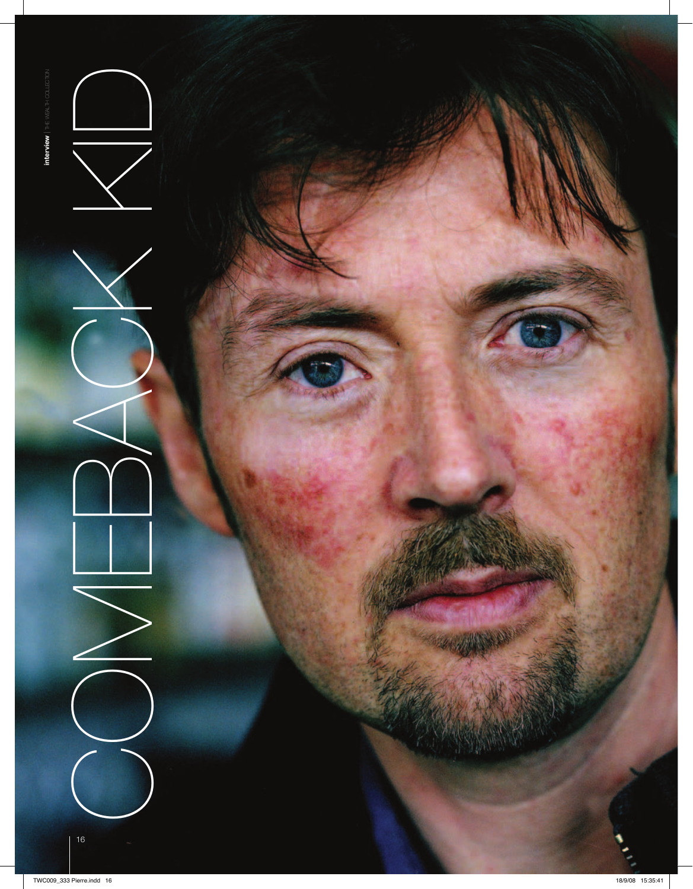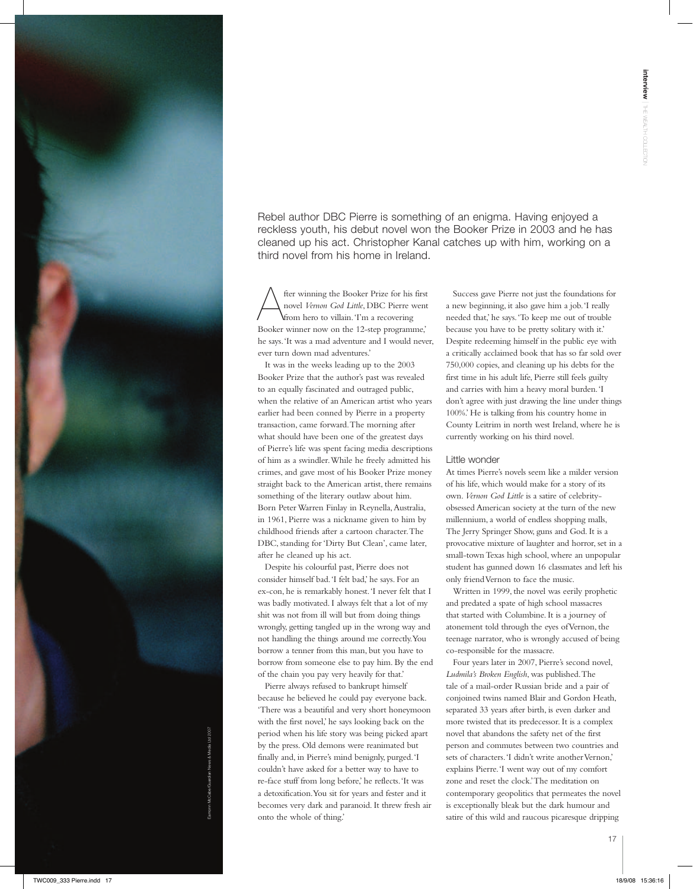Eamonn McCabe/Guardian News & Media Ltd 2007

Rebel author DBC Pierre is something of an enigma. Having enjoyed a reckless youth, his debut novel won the Booker Prize in 2003 and he has cleaned up his act. Christopher Kanal catches up with him, working on a third novel from his home in Ireland.

fter winning the Booker Prize for his first<br>novel *Vernon God Little*, DBC Pierre went<br>from hero to villain. Tm a recovering novel *Vernon God Little*, DBC Pierre went from hero to villain. 'I'm a recovering Booker winner now on the 12-step programme,' he says. 'It was a mad adventure and I would never, ever turn down mad adventures.'

It was in the weeks leading up to the 2003 Booker Prize that the author's past was revealed to an equally fascinated and outraged public, when the relative of an American artist who years earlier had been conned by Pierre in a property transaction, came forward. The morning after what should have been one of the greatest days of Pierre's life was spent facing media descriptions of him as a swindler. While he freely admitted his crimes, and gave most of his Booker Prize money straight back to the American artist, there remains something of the literary outlaw about him. Born Peter Warren Finlay in Reynella, Australia, in 1961, Pierre was a nickname given to him by childhood friends after a cartoon character. The DBC, standing for 'Dirty But Clean', came later, after he cleaned up his act.

Despite his colourful past, Pierre does not consider himself bad. 'I felt bad,' he says. For an ex-con, he is remarkably honest. 'I never felt that I was badly motivated. I always felt that a lot of my shit was not from ill will but from doing things wrongly, getting tangled up in the wrong way and not handling the things around me correctly. You borrow a tenner from this man, but you have to borrow from someone else to pay him. By the end of the chain you pay very heavily for that.'

Pierre always refused to bankrupt himself because he believed he could pay everyone back. 'There was a beautiful and very short honeymoon with the first novel,' he says looking back on the period when his life story was being picked apart by the press. Old demons were reanimated but finally and, in Pierre's mind benignly, purged. 'I couldn't have asked for a better way to have to re-face stuff from long before,' he reflects. 'It was a detoxification. You sit for years and fester and it becomes very dark and paranoid. It threw fresh air onto the whole of thing.'

Success gave Pierre not just the foundations for a new beginning, it also gave him a job. 'I really needed that,' he says. 'To keep me out of trouble because you have to be pretty solitary with it.' Despite redeeming himself in the public eye with a critically acclaimed book that has so far sold over 750,000 copies, and cleaning up his debts for the first time in his adult life, Pierre still feels guilty and carries with him a heavy moral burden. 'I don't agree with just drawing the line under things 100%.' He is talking from his country home in County Leitrim in north west Ireland, where he is currently working on his third novel.

## Little wonder

At times Pierre's novels seem like a milder version of his life, which would make for a story of its own. *Vernon God Little* is a satire of celebrityobsessed American society at the turn of the new millennium, a world of endless shopping malls, The Jerry Springer Show, guns and God. It is a provocative mixture of laughter and horror, set in a small-town Texas high school, where an unpopular student has gunned down 16 classmates and left his only friend Vernon to face the music.

Written in 1999, the novel was eerily prophetic and predated a spate of high school massacres that started with Columbine. It is a journey of atonement told through the eyes of Vernon, the teenage narrator, who is wrongly accused of being co-responsible for the massacre.

Four years later in 2007, Pierre's second novel, *Ludmila's Broken English*, was published. The tale of a mail-order Russian bride and a pair of conjoined twins named Blair and Gordon Heath, separated 33 years after birth, is even darker and more twisted that its predecessor. It is a complex novel that abandons the safety net of the first person and commutes between two countries and sets of characters. 'I didn't write another Vernon,' explains Pierre. 'I went way out of my comfort zone and reset the clock.' The meditation on contemporary geopolitics that permeates the novel is exceptionally bleak but the dark humour and satire of this wild and raucous picaresque dripping